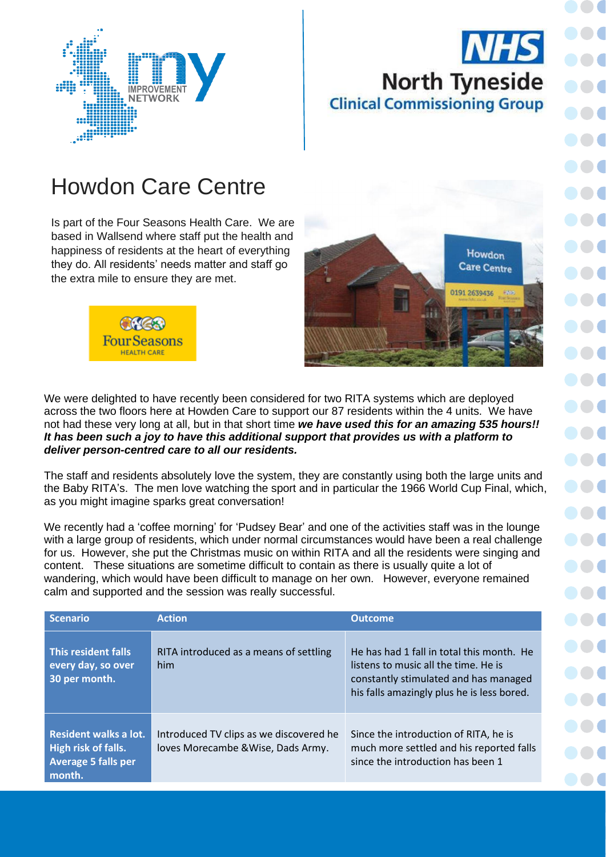## **NHS North Tyneside Clinical Commissioning Group**



 $\bullet$ 

## Howdon Care Centre

Is part of the Four Seasons Health Care. We are based in Wallsend where staff put the health and happiness of residents at the heart of everything they do. All residents' needs matter and staff go the extra mile to ensure they are met.





We were delighted to have recently been considered for two RITA systems which are deployed across the two floors here at Howden Care to support our 87 residents within the 4 units. We have not had these very long at all, but in that short time *we have used this for an amazing 535 hours!! It has been such a joy to have this additional support that provides us with a platform to deliver person-centred care to all our residents.*

The staff and residents absolutely love the system, they are constantly using both the large units and the Baby RITA's. The men love watching the sport and in particular the 1966 World Cup Final, which, as you might imagine sparks great conversation!

We recently had a 'coffee morning' for 'Pudsey Bear' and one of the activities staff was in the lounge with a large group of residents, which under normal circumstances would have been a real challenge for us. However, she put the Christmas music on within RITA and all the residents were singing and content. These situations are sometime difficult to contain as there is usually quite a lot of wandering, which would have been difficult to manage on her own. However, everyone remained calm and supported and the session was really successful.

| <b>Scenario</b>                                                                      | <b>Action</b>                                                                 | <b>Outcome</b>                                                                                                                                                           |
|--------------------------------------------------------------------------------------|-------------------------------------------------------------------------------|--------------------------------------------------------------------------------------------------------------------------------------------------------------------------|
| This resident falls<br>every day, so over<br>30 per month.                           | RITA introduced as a means of settling<br>him                                 | He has had 1 fall in total this month. He<br>listens to music all the time. He is<br>constantly stimulated and has managed<br>his falls amazingly plus he is less bored. |
| Resident walks a lot.<br>High risk of falls.<br><b>Average 5 falls per</b><br>month. | Introduced TV clips as we discovered he<br>loves Morecambe & Wise, Dads Army. | Since the introduction of RITA, he is<br>much more settled and his reported falls<br>since the introduction has been 1                                                   |